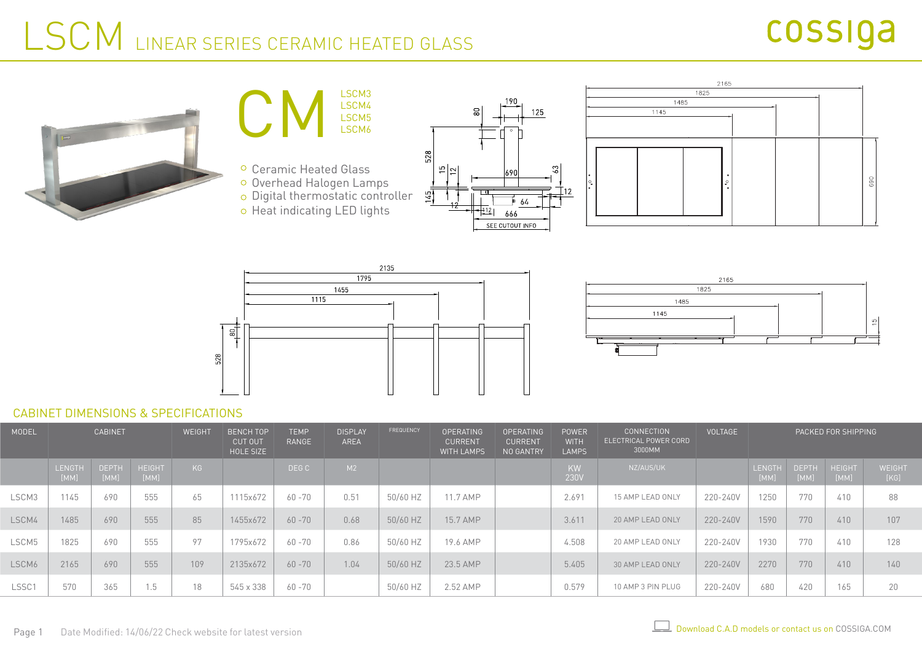### LSCM LINEAR SERIES CERAMIC HEATED GLASS













#### CABINET DIMENSIONS & SPECIFICATIONS

| MODEL | <b>CABINET</b> |                      |                       | WEIGHT | <b>BENCH TOP</b><br><b>CUT OUT</b><br>HOLE SIZE | <b>TEMP</b><br><b>RANGE</b> | <b>DISPLAY</b><br>AREA | FREQUENCY | <b>OPERATING</b><br><b>CURRENT</b><br><b>WITH LAMPS</b> | <b>OPERATING</b><br><b>CURRENT</b><br>NO GANTRY | <b>POWER</b><br><b>WITH</b><br><b>LAMPS</b> | <b>CONNECTION</b><br>ELECTRICAL POWER CORD<br>3000MM | <b>VOLTAGE</b> | PACKED FOR SHIPPING |                      |                       |                |
|-------|----------------|----------------------|-----------------------|--------|-------------------------------------------------|-----------------------------|------------------------|-----------|---------------------------------------------------------|-------------------------------------------------|---------------------------------------------|------------------------------------------------------|----------------|---------------------|----------------------|-----------------------|----------------|
|       | LENGTH<br>[MM] | <b>DEPTH</b><br>[MM] | <b>HEIGHT</b><br>[MM] | KG     |                                                 | DEG C                       | M2                     |           |                                                         |                                                 | KW<br>230V                                  | NZ/AUS/UK                                            |                | LENGTH<br>[MM]      | <b>DEPTH</b><br>[MM] | <b>HEIGHT</b><br>[MM] | WEIGHT<br>[KG] |
| LSCM3 | 1145           | 690                  | 555                   | 65     | 1115x672                                        | 60 - 70                     | 0.51                   | 50/60 HZ  | 11.7 AMP                                                |                                                 | 2.691                                       | 15 AMP LEAD ONLY                                     | 220-240V       | 1250                | 770                  | 410                   | 88             |
| LSCM4 | 1485           | 690                  | 555                   | 85     | 1455x672                                        | $60 - 70$                   | 0.68                   | 50/60 HZ  | 15.7 AMP                                                |                                                 | 3.611                                       | 20 AMP LEAD ONLY                                     | 220-240V       | 1590                | 770                  | 410                   | 107            |
| LSCM5 | 1825           | 690                  | 555                   | 97     | 1795x672                                        | 60 -70                      | 0.86                   | 50/60 HZ  | 19.6 AMP                                                |                                                 | 4.508                                       | 20 AMP LEAD ONLY                                     | 220-240V       | 1930                | 770                  | 410                   | 128            |
| LSCM6 | 2165           | 690                  | 555                   | 109    | 2135x672                                        | $60 - 70$                   | 1.04                   | 50/60 HZ  | 23.5 AMP                                                |                                                 | 5.405                                       | 30 AMP LEAD ONLY                                     | 220-240V       | 2270                | 770                  | 410                   | 140            |
| LSSC1 | 570            | 365                  | 1.5                   | 18     | 545 x 338                                       | 60 - 70                     |                        | 50/60 HZ  | 2.52 AMP                                                |                                                 | 0.579                                       | 10 AMP 3 PIN PLUG                                    | 220-240V       | 680                 | 420                  | 165                   | 20             |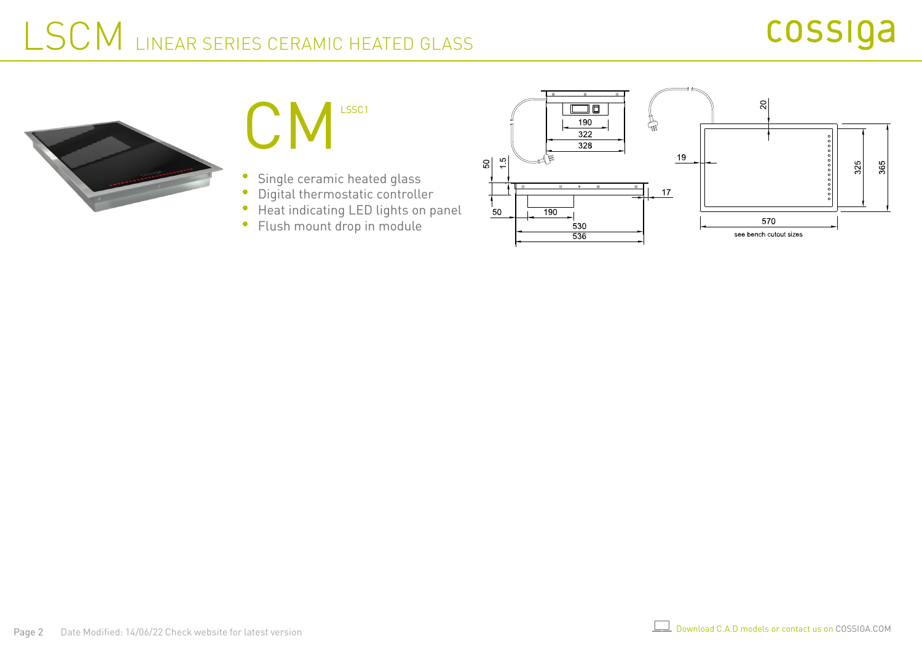### cossiga

## LSCM LINEAR SERIES CERAMIC HEATED GLASS





- Single ceramic heated glass
- Digital thermostatic controller  $\bullet$
- Heat indicating LED lights on panel  $\bullet$
- Flush mount drop in module $\bullet$

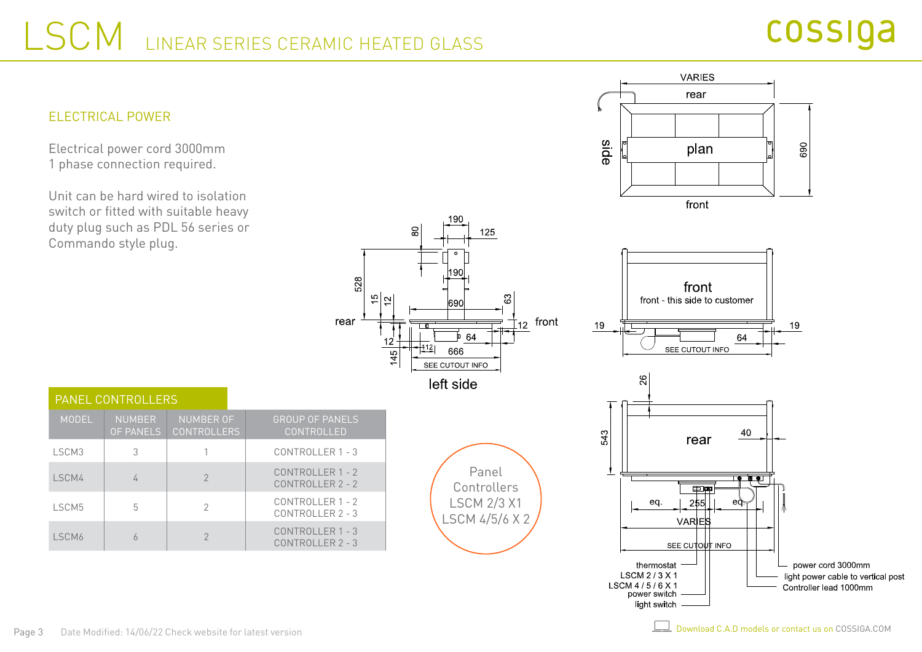528

rear

 $\frac{5}{2}$ 

 $12$ 

 $45$ 



Electrical power cord 3000mm 1 phase connection required.

Unit can be hard wired to isolation switch or fitted with suitable heavy duty plug such as PDL 56 series or Commando style plug.



light switch

|  |              | <b>PANEL CONTROLLERS</b>          |                                        |  |                                            |  |  |  |
|--|--------------|-----------------------------------|----------------------------------------|--|--------------------------------------------|--|--|--|
|  | <b>MODEL</b> | <b>NUMBER</b><br><b>OF PANELS</b> | <b>NUMBER OF</b><br><b>CONTROLLERS</b> |  | <b>GROUP OF PANELS</b><br>CONTROLLED       |  |  |  |
|  | I SCM3       | 3                                 |                                        |  | CONTROLLER 1 - 3                           |  |  |  |
|  | LSCM4        |                                   | $\mathcal{P}$                          |  | CONTROLLER 1 - 2<br>CONTROLLER 2 - 2       |  |  |  |
|  | <b>ISCM5</b> | 5                                 | 2                                      |  | CONTROLLER 1 - 2<br>$CONTROI$ I FR $2 - 3$ |  |  |  |
|  | ISCM6        |                                   |                                        |  | CONTROLLER 1 - 3<br>$CONTROI I FR 2 - 3$   |  |  |  |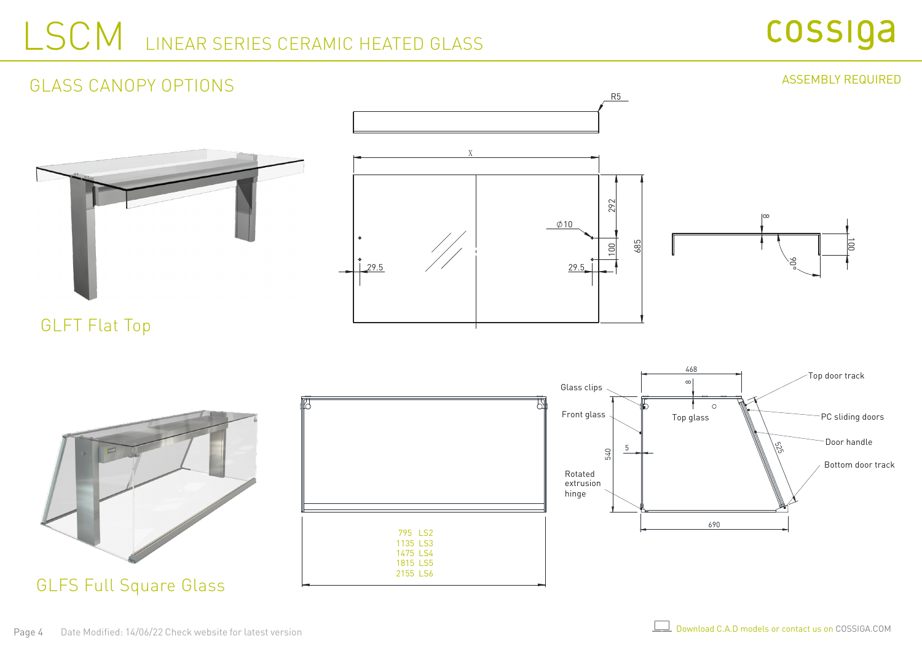### LSCM LINEAR SERIES CERAMIC HEATED GLASS







GLFS Full Square Glass

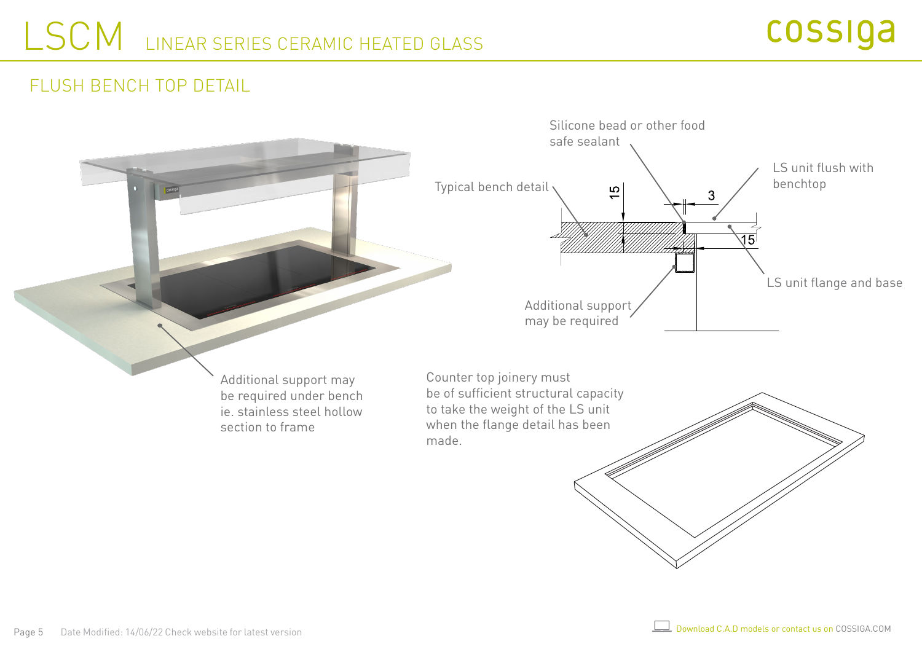#### FLUSH BENCH TOP DETAIL

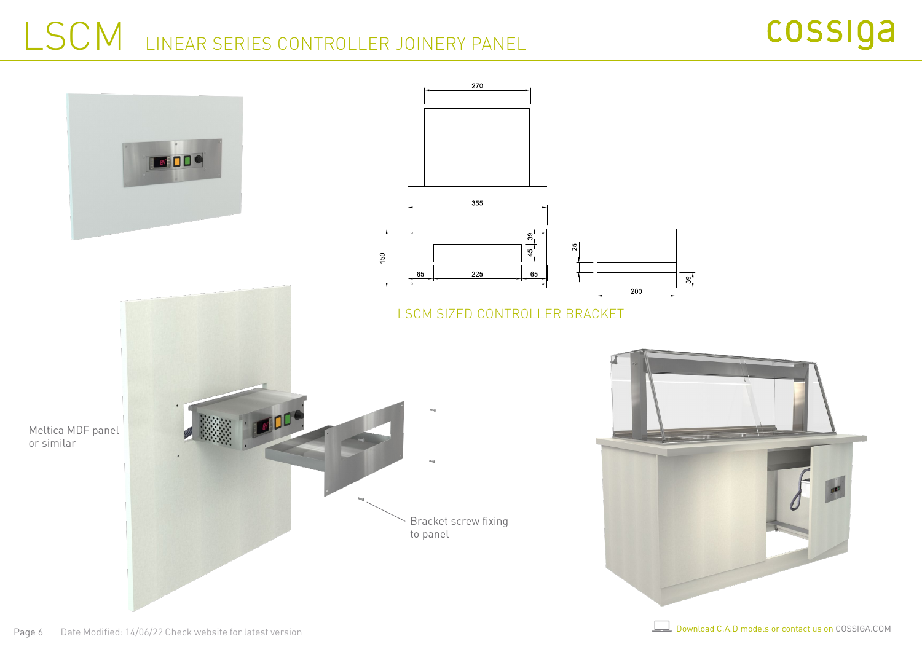# LSCM LINEAR SERIES CONTROLLER JOINERY PANEL